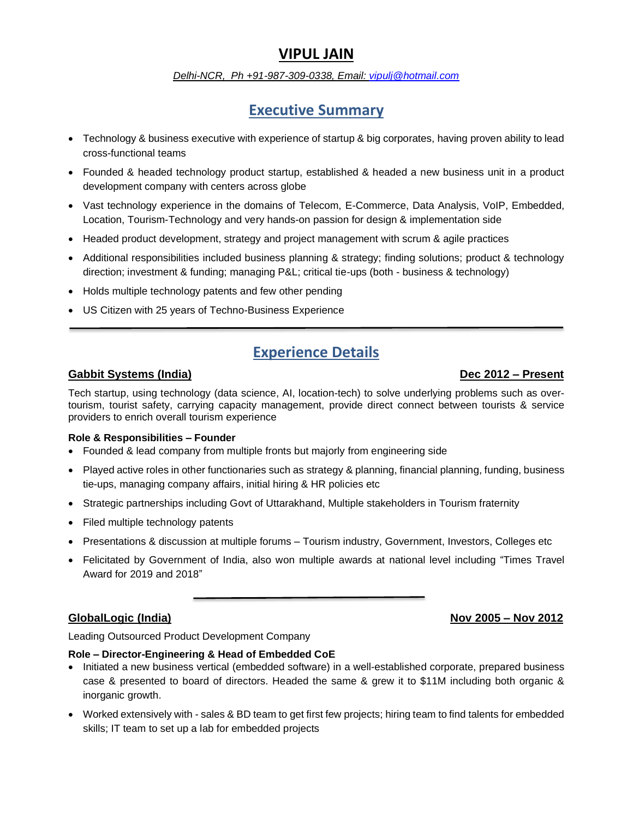# **VIPUL JAIN**

## *Delhi-NCR, Ph +91-987-309-0338, Email: [vipulj@hotmail.com](mailto:vipulj@hotmail.com)*

# **Executive Summary**

- Technology & business executive with experience of startup & big corporates, having proven ability to lead cross-functional teams
- Founded & headed technology product startup, established & headed a new business unit in a product development company with centers across globe
- Vast technology experience in the domains of Telecom, E-Commerce, Data Analysis, VoIP, Embedded, Location, Tourism-Technology and very hands-on passion for design & implementation side
- Headed product development, strategy and project management with scrum & agile practices
- Additional responsibilities included business planning & strategy; finding solutions; product & technology direction; investment & funding; managing P&L; critical tie-ups (both - business & technology)
- Holds multiple technology patents and few other pending
- US Citizen with 25 years of Techno-Business Experience

# **Experience Details**

# **Gabbit Systems (India) Dec 2012 – Present**

Tech startup, using technology (data science, AI, location-tech) to solve underlying problems such as overtourism, tourist safety, carrying capacity management, provide direct connect between tourists & service providers to enrich overall tourism experience

## **Role & Responsibilities – Founder**

- Founded & lead company from multiple fronts but majorly from engineering side
- Played active roles in other functionaries such as strategy & planning, financial planning, funding, business tie-ups, managing company affairs, initial hiring & HR policies etc
- Strategic partnerships including Govt of Uttarakhand, Multiple stakeholders in Tourism fraternity
- Filed multiple technology patents
- Presentations & discussion at multiple forums Tourism industry, Government, Investors, Colleges etc
- Felicitated by Government of India, also won multiple awards at national level including "Times Travel Award for 2019 and 2018"

## **GlobalLogic (India) Nov 2005 – Nov 2012**

Leading Outsourced Product Development Company

## **Role – Director-Engineering & Head of Embedded CoE**

- Initiated a new business vertical (embedded software) in a well-established corporate, prepared business case & presented to board of directors. Headed the same & grew it to \$11M including both organic & inorganic growth.
- Worked extensively with sales & BD team to get first few projects; hiring team to find talents for embedded skills; IT team to set up a lab for embedded projects